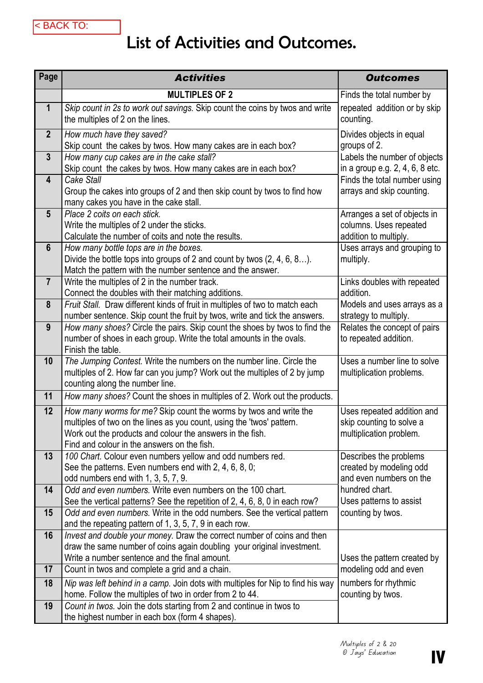## List of Activities and Outcomes.

| <b>MULTIPLES OF 2</b><br>Finds the total number by<br>1<br>Skip count in 2s to work out savings. Skip count the coins by twos and write<br>repeated addition or by skip<br>the multiples of 2 on the lines.<br>counting.<br>$\overline{2}$<br>How much have they saved?<br>Divides objects in equal<br>Skip count the cakes by twos. How many cakes are in each box?<br>groups of 2.<br>$\mathbf{3}$<br>How many cup cakes are in the cake stall?<br>Labels the number of objects<br>Skip count the cakes by twos. How many cakes are in each box?<br>in a group e.g. 2, 4, 6, 8 etc.<br>Cake Stall<br>$\overline{\mathbf{4}}$<br>Finds the total number using<br>Group the cakes into groups of 2 and then skip count by twos to find how<br>arrays and skip counting.<br>many cakes you have in the cake stall.<br>$5\phantom{.}$<br>Place 2 coits on each stick.<br>Arranges a set of objects in<br>Write the multiples of 2 under the sticks.<br>columns. Uses repeated<br>Calculate the number of coits and note the results.<br>addition to multiply.<br>$6\phantom{1}$<br>Uses arrays and grouping to<br>How many bottle tops are in the boxes.<br>Divide the bottle tops into groups of 2 and count by twos $(2, 4, 6, 8)$ .<br>multiply.<br>Match the pattern with the number sentence and the answer.<br>$\overline{7}$<br>Write the multiples of 2 in the number track.<br>Links doubles with repeated<br>Connect the doubles with their matching additions.<br>addition.<br>Fruit Stall. Draw different kinds of fruit in multiples of two to match each<br>Models and uses arrays as a<br>8<br>number sentence. Skip count the fruit by twos, write and tick the answers.<br>strategy to multiply.<br>How many shoes? Circle the pairs. Skip count the shoes by twos to find the<br>Relates the concept of pairs<br>9<br>number of shoes in each group. Write the total amounts in the ovals.<br>to repeated addition.<br>Finish the table.<br>The Jumping Contest. Write the numbers on the number line. Circle the<br>Uses a number line to solve<br>10<br>multiples of 2. How far can you jump? Work out the multiples of 2 by jump<br>multiplication problems.<br>counting along the number line.<br>How many shoes? Count the shoes in multiples of 2. Work out the products.<br>11<br>12<br>How many worms for me? Skip count the worms by twos and write the<br>Uses repeated addition and<br>multiples of two on the lines as you count, using the 'twos' pattern.<br>skip counting to solve a<br>Work out the products and colour the answers in the fish.<br>multiplication problem.<br>Find and colour in the answers on the fish.<br>100 Chart. Colour even numbers yellow and odd numbers red.<br>Describes the problems<br>13 | Page | <b>Activities</b> | <b>Outcomes</b>         |
|----------------------------------------------------------------------------------------------------------------------------------------------------------------------------------------------------------------------------------------------------------------------------------------------------------------------------------------------------------------------------------------------------------------------------------------------------------------------------------------------------------------------------------------------------------------------------------------------------------------------------------------------------------------------------------------------------------------------------------------------------------------------------------------------------------------------------------------------------------------------------------------------------------------------------------------------------------------------------------------------------------------------------------------------------------------------------------------------------------------------------------------------------------------------------------------------------------------------------------------------------------------------------------------------------------------------------------------------------------------------------------------------------------------------------------------------------------------------------------------------------------------------------------------------------------------------------------------------------------------------------------------------------------------------------------------------------------------------------------------------------------------------------------------------------------------------------------------------------------------------------------------------------------------------------------------------------------------------------------------------------------------------------------------------------------------------------------------------------------------------------------------------------------------------------------------------------------------------------------------------------------------------------------------------------------------------------------------------------------------------------------------------------------------------------------------------------------------------------------------------------------------------------------------------------------------------------------------------------------------------------------------------------------------------------------------------------------------------------------------------------------|------|-------------------|-------------------------|
|                                                                                                                                                                                                                                                                                                                                                                                                                                                                                                                                                                                                                                                                                                                                                                                                                                                                                                                                                                                                                                                                                                                                                                                                                                                                                                                                                                                                                                                                                                                                                                                                                                                                                                                                                                                                                                                                                                                                                                                                                                                                                                                                                                                                                                                                                                                                                                                                                                                                                                                                                                                                                                                                                                                                                          |      |                   |                         |
|                                                                                                                                                                                                                                                                                                                                                                                                                                                                                                                                                                                                                                                                                                                                                                                                                                                                                                                                                                                                                                                                                                                                                                                                                                                                                                                                                                                                                                                                                                                                                                                                                                                                                                                                                                                                                                                                                                                                                                                                                                                                                                                                                                                                                                                                                                                                                                                                                                                                                                                                                                                                                                                                                                                                                          |      |                   |                         |
|                                                                                                                                                                                                                                                                                                                                                                                                                                                                                                                                                                                                                                                                                                                                                                                                                                                                                                                                                                                                                                                                                                                                                                                                                                                                                                                                                                                                                                                                                                                                                                                                                                                                                                                                                                                                                                                                                                                                                                                                                                                                                                                                                                                                                                                                                                                                                                                                                                                                                                                                                                                                                                                                                                                                                          |      |                   |                         |
|                                                                                                                                                                                                                                                                                                                                                                                                                                                                                                                                                                                                                                                                                                                                                                                                                                                                                                                                                                                                                                                                                                                                                                                                                                                                                                                                                                                                                                                                                                                                                                                                                                                                                                                                                                                                                                                                                                                                                                                                                                                                                                                                                                                                                                                                                                                                                                                                                                                                                                                                                                                                                                                                                                                                                          |      |                   |                         |
|                                                                                                                                                                                                                                                                                                                                                                                                                                                                                                                                                                                                                                                                                                                                                                                                                                                                                                                                                                                                                                                                                                                                                                                                                                                                                                                                                                                                                                                                                                                                                                                                                                                                                                                                                                                                                                                                                                                                                                                                                                                                                                                                                                                                                                                                                                                                                                                                                                                                                                                                                                                                                                                                                                                                                          |      |                   |                         |
|                                                                                                                                                                                                                                                                                                                                                                                                                                                                                                                                                                                                                                                                                                                                                                                                                                                                                                                                                                                                                                                                                                                                                                                                                                                                                                                                                                                                                                                                                                                                                                                                                                                                                                                                                                                                                                                                                                                                                                                                                                                                                                                                                                                                                                                                                                                                                                                                                                                                                                                                                                                                                                                                                                                                                          |      |                   |                         |
|                                                                                                                                                                                                                                                                                                                                                                                                                                                                                                                                                                                                                                                                                                                                                                                                                                                                                                                                                                                                                                                                                                                                                                                                                                                                                                                                                                                                                                                                                                                                                                                                                                                                                                                                                                                                                                                                                                                                                                                                                                                                                                                                                                                                                                                                                                                                                                                                                                                                                                                                                                                                                                                                                                                                                          |      |                   |                         |
|                                                                                                                                                                                                                                                                                                                                                                                                                                                                                                                                                                                                                                                                                                                                                                                                                                                                                                                                                                                                                                                                                                                                                                                                                                                                                                                                                                                                                                                                                                                                                                                                                                                                                                                                                                                                                                                                                                                                                                                                                                                                                                                                                                                                                                                                                                                                                                                                                                                                                                                                                                                                                                                                                                                                                          |      |                   |                         |
|                                                                                                                                                                                                                                                                                                                                                                                                                                                                                                                                                                                                                                                                                                                                                                                                                                                                                                                                                                                                                                                                                                                                                                                                                                                                                                                                                                                                                                                                                                                                                                                                                                                                                                                                                                                                                                                                                                                                                                                                                                                                                                                                                                                                                                                                                                                                                                                                                                                                                                                                                                                                                                                                                                                                                          |      |                   |                         |
|                                                                                                                                                                                                                                                                                                                                                                                                                                                                                                                                                                                                                                                                                                                                                                                                                                                                                                                                                                                                                                                                                                                                                                                                                                                                                                                                                                                                                                                                                                                                                                                                                                                                                                                                                                                                                                                                                                                                                                                                                                                                                                                                                                                                                                                                                                                                                                                                                                                                                                                                                                                                                                                                                                                                                          |      |                   |                         |
|                                                                                                                                                                                                                                                                                                                                                                                                                                                                                                                                                                                                                                                                                                                                                                                                                                                                                                                                                                                                                                                                                                                                                                                                                                                                                                                                                                                                                                                                                                                                                                                                                                                                                                                                                                                                                                                                                                                                                                                                                                                                                                                                                                                                                                                                                                                                                                                                                                                                                                                                                                                                                                                                                                                                                          |      |                   |                         |
|                                                                                                                                                                                                                                                                                                                                                                                                                                                                                                                                                                                                                                                                                                                                                                                                                                                                                                                                                                                                                                                                                                                                                                                                                                                                                                                                                                                                                                                                                                                                                                                                                                                                                                                                                                                                                                                                                                                                                                                                                                                                                                                                                                                                                                                                                                                                                                                                                                                                                                                                                                                                                                                                                                                                                          |      |                   |                         |
|                                                                                                                                                                                                                                                                                                                                                                                                                                                                                                                                                                                                                                                                                                                                                                                                                                                                                                                                                                                                                                                                                                                                                                                                                                                                                                                                                                                                                                                                                                                                                                                                                                                                                                                                                                                                                                                                                                                                                                                                                                                                                                                                                                                                                                                                                                                                                                                                                                                                                                                                                                                                                                                                                                                                                          |      |                   |                         |
|                                                                                                                                                                                                                                                                                                                                                                                                                                                                                                                                                                                                                                                                                                                                                                                                                                                                                                                                                                                                                                                                                                                                                                                                                                                                                                                                                                                                                                                                                                                                                                                                                                                                                                                                                                                                                                                                                                                                                                                                                                                                                                                                                                                                                                                                                                                                                                                                                                                                                                                                                                                                                                                                                                                                                          |      |                   |                         |
|                                                                                                                                                                                                                                                                                                                                                                                                                                                                                                                                                                                                                                                                                                                                                                                                                                                                                                                                                                                                                                                                                                                                                                                                                                                                                                                                                                                                                                                                                                                                                                                                                                                                                                                                                                                                                                                                                                                                                                                                                                                                                                                                                                                                                                                                                                                                                                                                                                                                                                                                                                                                                                                                                                                                                          |      |                   |                         |
|                                                                                                                                                                                                                                                                                                                                                                                                                                                                                                                                                                                                                                                                                                                                                                                                                                                                                                                                                                                                                                                                                                                                                                                                                                                                                                                                                                                                                                                                                                                                                                                                                                                                                                                                                                                                                                                                                                                                                                                                                                                                                                                                                                                                                                                                                                                                                                                                                                                                                                                                                                                                                                                                                                                                                          |      |                   |                         |
|                                                                                                                                                                                                                                                                                                                                                                                                                                                                                                                                                                                                                                                                                                                                                                                                                                                                                                                                                                                                                                                                                                                                                                                                                                                                                                                                                                                                                                                                                                                                                                                                                                                                                                                                                                                                                                                                                                                                                                                                                                                                                                                                                                                                                                                                                                                                                                                                                                                                                                                                                                                                                                                                                                                                                          |      |                   |                         |
|                                                                                                                                                                                                                                                                                                                                                                                                                                                                                                                                                                                                                                                                                                                                                                                                                                                                                                                                                                                                                                                                                                                                                                                                                                                                                                                                                                                                                                                                                                                                                                                                                                                                                                                                                                                                                                                                                                                                                                                                                                                                                                                                                                                                                                                                                                                                                                                                                                                                                                                                                                                                                                                                                                                                                          |      |                   |                         |
|                                                                                                                                                                                                                                                                                                                                                                                                                                                                                                                                                                                                                                                                                                                                                                                                                                                                                                                                                                                                                                                                                                                                                                                                                                                                                                                                                                                                                                                                                                                                                                                                                                                                                                                                                                                                                                                                                                                                                                                                                                                                                                                                                                                                                                                                                                                                                                                                                                                                                                                                                                                                                                                                                                                                                          |      |                   |                         |
|                                                                                                                                                                                                                                                                                                                                                                                                                                                                                                                                                                                                                                                                                                                                                                                                                                                                                                                                                                                                                                                                                                                                                                                                                                                                                                                                                                                                                                                                                                                                                                                                                                                                                                                                                                                                                                                                                                                                                                                                                                                                                                                                                                                                                                                                                                                                                                                                                                                                                                                                                                                                                                                                                                                                                          |      |                   |                         |
|                                                                                                                                                                                                                                                                                                                                                                                                                                                                                                                                                                                                                                                                                                                                                                                                                                                                                                                                                                                                                                                                                                                                                                                                                                                                                                                                                                                                                                                                                                                                                                                                                                                                                                                                                                                                                                                                                                                                                                                                                                                                                                                                                                                                                                                                                                                                                                                                                                                                                                                                                                                                                                                                                                                                                          |      |                   |                         |
|                                                                                                                                                                                                                                                                                                                                                                                                                                                                                                                                                                                                                                                                                                                                                                                                                                                                                                                                                                                                                                                                                                                                                                                                                                                                                                                                                                                                                                                                                                                                                                                                                                                                                                                                                                                                                                                                                                                                                                                                                                                                                                                                                                                                                                                                                                                                                                                                                                                                                                                                                                                                                                                                                                                                                          |      |                   |                         |
|                                                                                                                                                                                                                                                                                                                                                                                                                                                                                                                                                                                                                                                                                                                                                                                                                                                                                                                                                                                                                                                                                                                                                                                                                                                                                                                                                                                                                                                                                                                                                                                                                                                                                                                                                                                                                                                                                                                                                                                                                                                                                                                                                                                                                                                                                                                                                                                                                                                                                                                                                                                                                                                                                                                                                          |      |                   |                         |
|                                                                                                                                                                                                                                                                                                                                                                                                                                                                                                                                                                                                                                                                                                                                                                                                                                                                                                                                                                                                                                                                                                                                                                                                                                                                                                                                                                                                                                                                                                                                                                                                                                                                                                                                                                                                                                                                                                                                                                                                                                                                                                                                                                                                                                                                                                                                                                                                                                                                                                                                                                                                                                                                                                                                                          |      |                   |                         |
|                                                                                                                                                                                                                                                                                                                                                                                                                                                                                                                                                                                                                                                                                                                                                                                                                                                                                                                                                                                                                                                                                                                                                                                                                                                                                                                                                                                                                                                                                                                                                                                                                                                                                                                                                                                                                                                                                                                                                                                                                                                                                                                                                                                                                                                                                                                                                                                                                                                                                                                                                                                                                                                                                                                                                          |      |                   |                         |
|                                                                                                                                                                                                                                                                                                                                                                                                                                                                                                                                                                                                                                                                                                                                                                                                                                                                                                                                                                                                                                                                                                                                                                                                                                                                                                                                                                                                                                                                                                                                                                                                                                                                                                                                                                                                                                                                                                                                                                                                                                                                                                                                                                                                                                                                                                                                                                                                                                                                                                                                                                                                                                                                                                                                                          |      |                   |                         |
|                                                                                                                                                                                                                                                                                                                                                                                                                                                                                                                                                                                                                                                                                                                                                                                                                                                                                                                                                                                                                                                                                                                                                                                                                                                                                                                                                                                                                                                                                                                                                                                                                                                                                                                                                                                                                                                                                                                                                                                                                                                                                                                                                                                                                                                                                                                                                                                                                                                                                                                                                                                                                                                                                                                                                          |      |                   |                         |
|                                                                                                                                                                                                                                                                                                                                                                                                                                                                                                                                                                                                                                                                                                                                                                                                                                                                                                                                                                                                                                                                                                                                                                                                                                                                                                                                                                                                                                                                                                                                                                                                                                                                                                                                                                                                                                                                                                                                                                                                                                                                                                                                                                                                                                                                                                                                                                                                                                                                                                                                                                                                                                                                                                                                                          |      |                   |                         |
| See the patterns. Even numbers end with 2, 4, 6, 8, 0;                                                                                                                                                                                                                                                                                                                                                                                                                                                                                                                                                                                                                                                                                                                                                                                                                                                                                                                                                                                                                                                                                                                                                                                                                                                                                                                                                                                                                                                                                                                                                                                                                                                                                                                                                                                                                                                                                                                                                                                                                                                                                                                                                                                                                                                                                                                                                                                                                                                                                                                                                                                                                                                                                                   |      |                   | created by modeling odd |
| and even numbers on the<br>odd numbers end with 1, 3, 5, 7, 9.                                                                                                                                                                                                                                                                                                                                                                                                                                                                                                                                                                                                                                                                                                                                                                                                                                                                                                                                                                                                                                                                                                                                                                                                                                                                                                                                                                                                                                                                                                                                                                                                                                                                                                                                                                                                                                                                                                                                                                                                                                                                                                                                                                                                                                                                                                                                                                                                                                                                                                                                                                                                                                                                                           |      |                   |                         |
| Odd and even numbers. Write even numbers on the 100 chart.<br>hundred chart.<br>14                                                                                                                                                                                                                                                                                                                                                                                                                                                                                                                                                                                                                                                                                                                                                                                                                                                                                                                                                                                                                                                                                                                                                                                                                                                                                                                                                                                                                                                                                                                                                                                                                                                                                                                                                                                                                                                                                                                                                                                                                                                                                                                                                                                                                                                                                                                                                                                                                                                                                                                                                                                                                                                                       |      |                   |                         |
| See the vertical patterns? See the repetition of 2, 4, 6, 8, 0 in each row?<br>Uses patterns to assist                                                                                                                                                                                                                                                                                                                                                                                                                                                                                                                                                                                                                                                                                                                                                                                                                                                                                                                                                                                                                                                                                                                                                                                                                                                                                                                                                                                                                                                                                                                                                                                                                                                                                                                                                                                                                                                                                                                                                                                                                                                                                                                                                                                                                                                                                                                                                                                                                                                                                                                                                                                                                                                   |      |                   |                         |
| Odd and even numbers. Write in the odd numbers. See the vertical pattern<br>15<br>counting by twos.                                                                                                                                                                                                                                                                                                                                                                                                                                                                                                                                                                                                                                                                                                                                                                                                                                                                                                                                                                                                                                                                                                                                                                                                                                                                                                                                                                                                                                                                                                                                                                                                                                                                                                                                                                                                                                                                                                                                                                                                                                                                                                                                                                                                                                                                                                                                                                                                                                                                                                                                                                                                                                                      |      |                   |                         |
| and the repeating pattern of 1, 3, 5, 7, 9 in each row.                                                                                                                                                                                                                                                                                                                                                                                                                                                                                                                                                                                                                                                                                                                                                                                                                                                                                                                                                                                                                                                                                                                                                                                                                                                                                                                                                                                                                                                                                                                                                                                                                                                                                                                                                                                                                                                                                                                                                                                                                                                                                                                                                                                                                                                                                                                                                                                                                                                                                                                                                                                                                                                                                                  |      |                   |                         |
| 16<br>Invest and double your money. Draw the correct number of coins and then                                                                                                                                                                                                                                                                                                                                                                                                                                                                                                                                                                                                                                                                                                                                                                                                                                                                                                                                                                                                                                                                                                                                                                                                                                                                                                                                                                                                                                                                                                                                                                                                                                                                                                                                                                                                                                                                                                                                                                                                                                                                                                                                                                                                                                                                                                                                                                                                                                                                                                                                                                                                                                                                            |      |                   |                         |
| draw the same number of coins again doubling your original investment.                                                                                                                                                                                                                                                                                                                                                                                                                                                                                                                                                                                                                                                                                                                                                                                                                                                                                                                                                                                                                                                                                                                                                                                                                                                                                                                                                                                                                                                                                                                                                                                                                                                                                                                                                                                                                                                                                                                                                                                                                                                                                                                                                                                                                                                                                                                                                                                                                                                                                                                                                                                                                                                                                   |      |                   |                         |
| Write a number sentence and the final amount.<br>Uses the pattern created by<br>17<br>Count in twos and complete a grid and a chain.<br>modeling odd and even                                                                                                                                                                                                                                                                                                                                                                                                                                                                                                                                                                                                                                                                                                                                                                                                                                                                                                                                                                                                                                                                                                                                                                                                                                                                                                                                                                                                                                                                                                                                                                                                                                                                                                                                                                                                                                                                                                                                                                                                                                                                                                                                                                                                                                                                                                                                                                                                                                                                                                                                                                                            |      |                   |                         |
|                                                                                                                                                                                                                                                                                                                                                                                                                                                                                                                                                                                                                                                                                                                                                                                                                                                                                                                                                                                                                                                                                                                                                                                                                                                                                                                                                                                                                                                                                                                                                                                                                                                                                                                                                                                                                                                                                                                                                                                                                                                                                                                                                                                                                                                                                                                                                                                                                                                                                                                                                                                                                                                                                                                                                          |      |                   |                         |
| 18<br>Nip was left behind in a camp. Join dots with multiples for Nip to find his way<br>numbers for rhythmic<br>home. Follow the multiples of two in order from 2 to 44.<br>counting by twos.                                                                                                                                                                                                                                                                                                                                                                                                                                                                                                                                                                                                                                                                                                                                                                                                                                                                                                                                                                                                                                                                                                                                                                                                                                                                                                                                                                                                                                                                                                                                                                                                                                                                                                                                                                                                                                                                                                                                                                                                                                                                                                                                                                                                                                                                                                                                                                                                                                                                                                                                                           |      |                   |                         |
| Count in twos. Join the dots starting from 2 and continue in twos to<br>19                                                                                                                                                                                                                                                                                                                                                                                                                                                                                                                                                                                                                                                                                                                                                                                                                                                                                                                                                                                                                                                                                                                                                                                                                                                                                                                                                                                                                                                                                                                                                                                                                                                                                                                                                                                                                                                                                                                                                                                                                                                                                                                                                                                                                                                                                                                                                                                                                                                                                                                                                                                                                                                                               |      |                   |                         |
| the highest number in each box (form 4 shapes).                                                                                                                                                                                                                                                                                                                                                                                                                                                                                                                                                                                                                                                                                                                                                                                                                                                                                                                                                                                                                                                                                                                                                                                                                                                                                                                                                                                                                                                                                                                                                                                                                                                                                                                                                                                                                                                                                                                                                                                                                                                                                                                                                                                                                                                                                                                                                                                                                                                                                                                                                                                                                                                                                                          |      |                   |                         |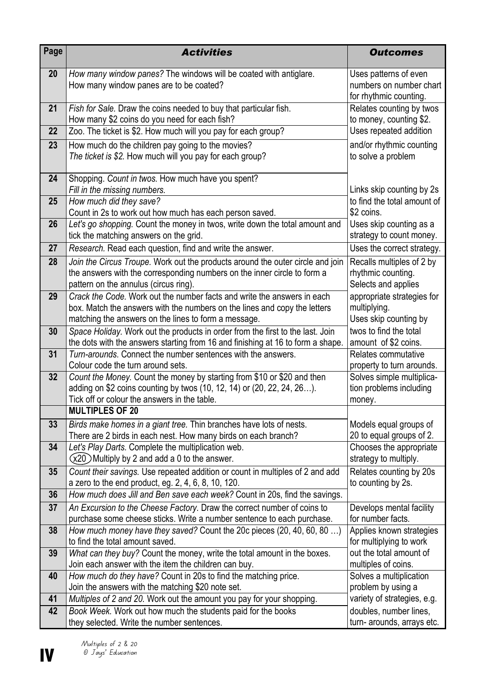| Page | <b>Activities</b>                                                                                                                                                                                            | <b>Outcomes</b>                                                            |
|------|--------------------------------------------------------------------------------------------------------------------------------------------------------------------------------------------------------------|----------------------------------------------------------------------------|
| 20   | How many window panes? The windows will be coated with antiglare.<br>How many window panes are to be coated?                                                                                                 | Uses patterns of even<br>numbers on number chart<br>for rhythmic counting. |
| 21   | Fish for Sale. Draw the coins needed to buy that particular fish.<br>How many \$2 coins do you need for each fish?                                                                                           | Relates counting by twos<br>to money, counting \$2.                        |
| 22   | Zoo. The ticket is \$2. How much will you pay for each group?                                                                                                                                                | Uses repeated addition                                                     |
| 23   | How much do the children pay going to the movies?<br>The ticket is \$2. How much will you pay for each group?                                                                                                | and/or rhythmic counting<br>to solve a problem                             |
| 24   | Shopping. Count in twos. How much have you spent?<br>Fill in the missing numbers.                                                                                                                            | Links skip counting by 2s                                                  |
| 25   | How much did they save?<br>Count in 2s to work out how much has each person saved.                                                                                                                           | to find the total amount of<br>\$2 coins.                                  |
| 26   | Let's go shopping. Count the money in twos, write down the total amount and<br>tick the matching answers on the grid.                                                                                        | Uses skip counting as a<br>strategy to count money.                        |
| 27   | Research. Read each question, find and write the answer.                                                                                                                                                     | Uses the correct strategy.                                                 |
| 28   | Join the Circus Troupe. Work out the products around the outer circle and join<br>the answers with the corresponding numbers on the inner circle to form a<br>pattern on the annulus (circus ring).          | Recalls multiples of 2 by<br>rhythmic counting.<br>Selects and applies     |
| 29   | Crack the Code. Work out the number facts and write the answers in each<br>box. Match the answers with the numbers on the lines and copy the letters<br>matching the answers on the lines to form a message. | appropriate strategies for<br>multiplying.<br>Uses skip counting by        |
| 30   | Space Holiday. Work out the products in order from the first to the last. Join<br>the dots with the answers starting from 16 and finishing at 16 to form a shape.                                            | twos to find the total<br>amount of \$2 coins.                             |
| 31   | Turn-arounds. Connect the number sentences with the answers.                                                                                                                                                 | Relates commutative                                                        |
| 32   | Colour code the turn around sets.<br>Count the Money. Count the money by starting from \$10 or \$20 and then                                                                                                 | property to turn arounds.<br>Solves simple multiplica-                     |
|      | adding on \$2 coins counting by twos (10, 12, 14) or (20, 22, 24, 26).                                                                                                                                       | tion problems including                                                    |
|      | Tick off or colour the answers in the table.                                                                                                                                                                 | money.                                                                     |
|      | <b>MULTIPLES OF 20</b>                                                                                                                                                                                       |                                                                            |
| 33   | Birds make homes in a giant tree. Thin branches have lots of nests.<br>There are 2 birds in each nest. How many birds on each branch?                                                                        | Models equal groups of<br>20 to equal groups of 2.                         |
| 34   | Let's Play Darts. Complete the multiplication web.                                                                                                                                                           | Chooses the appropriate                                                    |
|      | $(x20)$ Multiply by 2 and add a 0 to the answer.                                                                                                                                                             | strategy to multiply.                                                      |
| 35   | Count their savings. Use repeated addition or count in multiples of 2 and add<br>a zero to the end product, eg. 2, 4, 6, 8, 10, 120.                                                                         | Relates counting by 20s<br>to counting by 2s.                              |
| 36   | How much does Jill and Ben save each week? Count in 20s, find the savings.                                                                                                                                   |                                                                            |
| 37   | An Excursion to the Cheese Factory. Draw the correct number of coins to                                                                                                                                      | Develops mental facility                                                   |
|      | purchase some cheese sticks. Write a number sentence to each purchase.                                                                                                                                       | for number facts.                                                          |
| 38   | How much money have they saved? Count the 20c pieces (20, 40, 60, 80 )<br>to find the total amount saved.                                                                                                    | Applies known strategies<br>for multiplying to work                        |
| 39   | What can they buy? Count the money, write the total amount in the boxes.                                                                                                                                     | out the total amount of                                                    |
|      | Join each answer with the item the children can buy.                                                                                                                                                         | multiples of coins.                                                        |
| 40   | How much do they have? Count in 20s to find the matching price.<br>Join the answers with the matching \$20 note set.                                                                                         | Solves a multiplication<br>problem by using a                              |
| 41   | Multiples of 2 and 20. Work out the amount you pay for your shopping.                                                                                                                                        | variety of strategies, e.g.                                                |
| 42   | Book Week. Work out how much the students paid for the books                                                                                                                                                 | doubles, number lines,                                                     |
|      | they selected. Write the number sentences.                                                                                                                                                                   | turn- arounds, arrays etc.                                                 |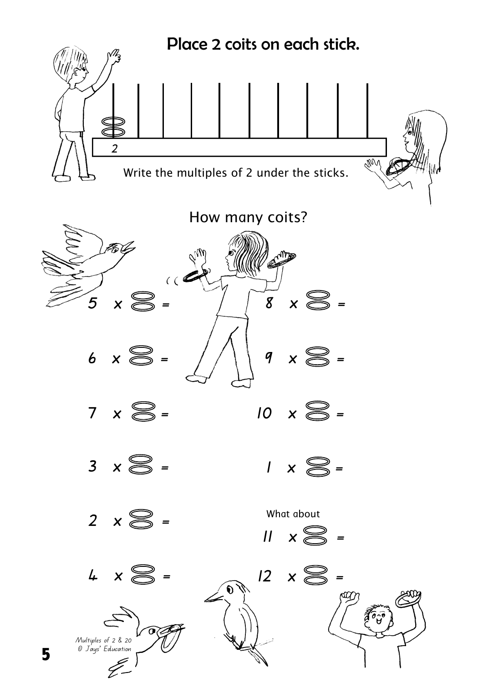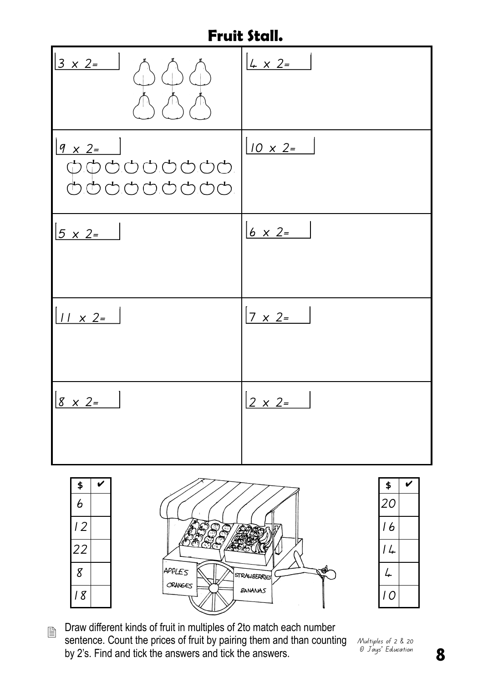## **Fruit Stall.**

| $\begin{array}{ c c c }\n\hline\n3 & x & 2 = & \\\n\hline\n\end{array}\n\quad \begin{array}{c}\n\hline\n\end{array}\n\quad \begin{array}{c}\n\hline\n\end{array}$<br>$\bigwedge$<br>$\setminus \bigwedge$<br>$\sqrt{N}$                                                                                                                                                            | $4 \times 2 =$  |
|------------------------------------------------------------------------------------------------------------------------------------------------------------------------------------------------------------------------------------------------------------------------------------------------------------------------------------------------------------------------------------|-----------------|
| $9 \times 2 =$<br>$\begin{picture}(150,10) \put(0,0){\line(1,0){10}} \put(15,0){\line(1,0){10}} \put(15,0){\line(1,0){10}} \put(15,0){\line(1,0){10}} \put(15,0){\line(1,0){10}} \put(15,0){\line(1,0){10}} \put(15,0){\line(1,0){10}} \put(15,0){\line(1,0){10}} \put(15,0){\line(1,0){10}} \put(15,0){\line(1,0){10}} \put(15,0){\line(1,0){10}} \put(15,0){\line($<br>666666666 | $10 \times 2 =$ |
| $5 \times 2 =$                                                                                                                                                                                                                                                                                                                                                                     | $6 \times 2 =$  |
| $11 \times 2=$                                                                                                                                                                                                                                                                                                                                                                     | $7 \times 2 =$  |
| $8 \times 2$ =                                                                                                                                                                                                                                                                                                                                                                     | $2 \times 2=$   |





Draw different kinds of fruit in multiples of 2to match each number sentence. Count the prices of fruit by pairing them and than counting by 2's. Find and tick the answers and tick the answers. 

Multiples of 2 & 20 © Jays' Education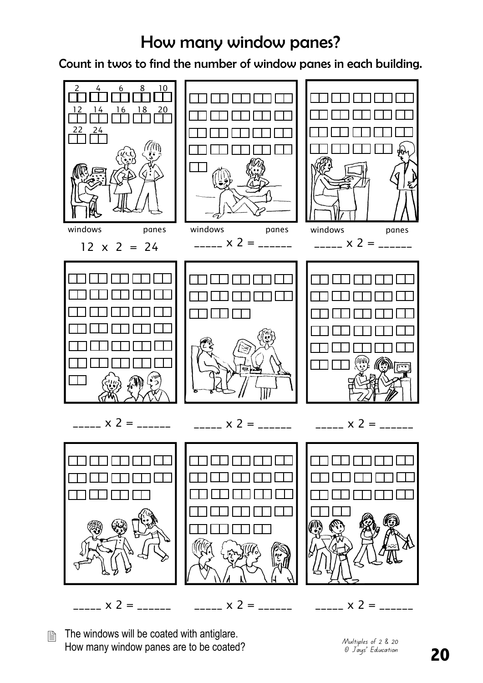## How many window panes?

Count in twos to find the number of window panes in each building.



The windows will be coated with antiglare. How many window panes are to be coated? 圕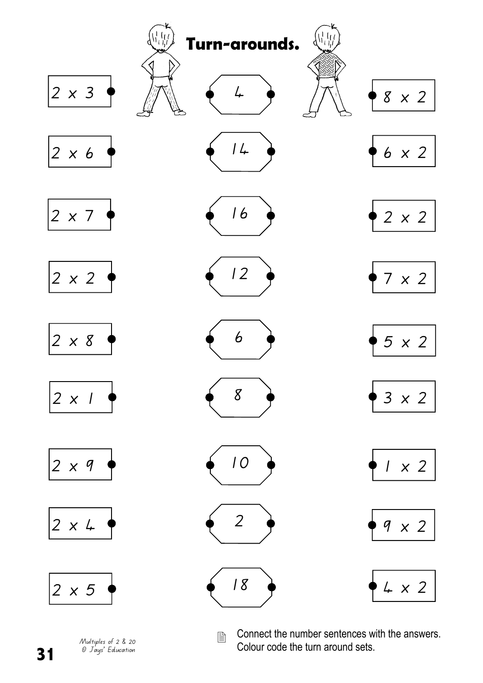

Multiples of 2 & 20 © Jays' Education

**31** 

Connect the number sentences with the answers. Colour code the turn around sets.